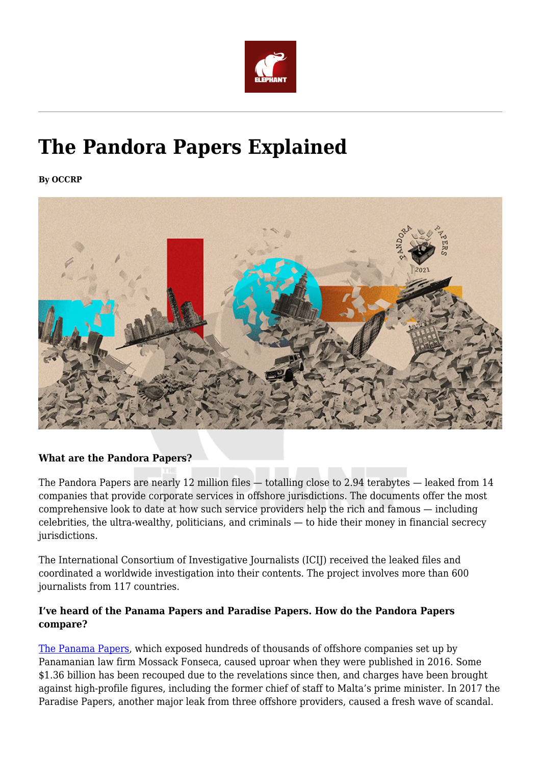

# **The Pandora Papers Explained**

**By OCCRP**



# **What are the Pandora Papers?**

The Pandora Papers are nearly 12 million files — totalling close to 2.94 terabytes — leaked from 14 companies that provide corporate services in offshore jurisdictions. The documents offer the most comprehensive look to date at how such service providers help the rich and famous — including celebrities, the ultra-wealthy, politicians, and criminals — to hide their money in financial secrecy jurisdictions.

The International Consortium of Investigative Journalists (ICIJ) received the leaked files and coordinated a worldwide investigation into their contents. The project involves more than 600 journalists from 117 countries.

# **I've heard of the Panama Papers and Paradise Papers. How do the Pandora Papers compare?**

[The Panama Papers](https://www.occrp.org/en/panamapapers/), which exposed hundreds of thousands of offshore companies set up by Panamanian law firm Mossack Fonseca, caused uproar when they were published in 2016. Some \$1.36 billion has been recouped due to the revelations since then, and charges have been brought against high-profile figures, including the former chief of staff to Malta's prime minister. In 2017 the Paradise Papers, another major leak from three offshore providers, caused a fresh wave of scandal.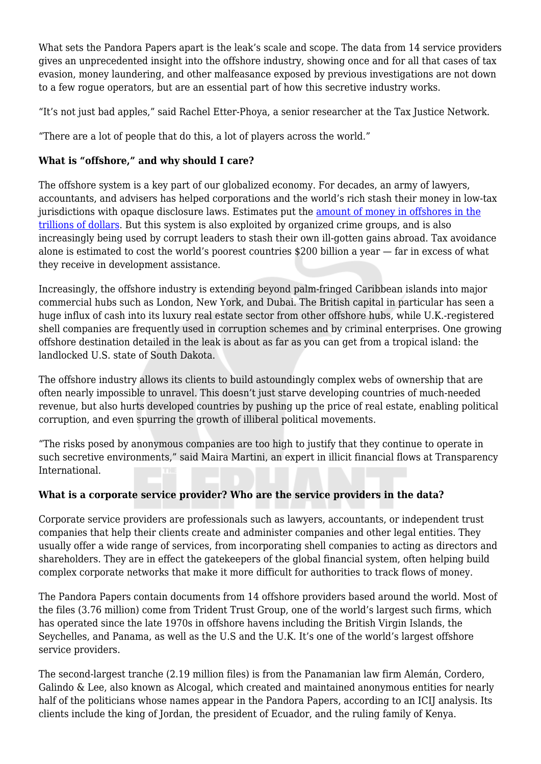What sets the Pandora Papers apart is the leak's scale and scope. The data from 14 service providers gives an unprecedented insight into the offshore industry, showing once and for all that cases of tax evasion, money laundering, and other malfeasance exposed by previous investigations are not down to a few rogue operators, but are an essential part of how this secretive industry works.

"It's not just bad apples," said Rachel Etter-Phoya, a senior researcher at the Tax Justice Network.

"There are a lot of people that do this, a lot of players across the world."

# **What is "offshore," and why should I care?**

The offshore system is a key part of our globalized economy. For decades, an army of lawyers, accountants, and advisers has helped corporations and the world's rich stash their money in low-tax jurisdictions with opaque disclosure laws. Estimates put the [amount of money in offshores in the](https://www.imf.org/external/pubs/ft/fandd/2019/09/tackling-global-tax-havens-shaxon.htm) [trillions of dollars.](https://www.imf.org/external/pubs/ft/fandd/2019/09/tackling-global-tax-havens-shaxon.htm) But this system is also exploited by organized crime groups, and is also increasingly being used by corrupt leaders to stash their own ill-gotten gains abroad. Tax avoidance alone is estimated to cost the world's poorest countries \$200 billion a year — far in excess of what they receive in development assistance.

Increasingly, the offshore industry is extending beyond palm-fringed Caribbean islands into major commercial hubs such as London, New York, and Dubai. The British capital in particular has seen a huge influx of cash into its luxury real estate sector from other offshore hubs, while U.K.-registered shell companies are frequently used in corruption schemes and by criminal enterprises. One growing offshore destination detailed in the leak is about as far as you can get from a tropical island: the landlocked U.S. state of South Dakota.

The offshore industry allows its clients to build astoundingly complex webs of ownership that are often nearly impossible to unravel. This doesn't just starve developing countries of much-needed revenue, but also hurts developed countries by pushing up the price of real estate, enabling political corruption, and even spurring the growth of illiberal political movements.

"The risks posed by anonymous companies are too high to justify that they continue to operate in such secretive environments," said Maira Martini, an expert in illicit financial flows at Transparency International.

# **What is a corporate service provider? Who are the service providers in the data?**

Corporate service providers are professionals such as lawyers, accountants, or independent trust companies that help their clients create and administer companies and other legal entities. They usually offer a wide range of services, from incorporating shell companies to acting as directors and shareholders. They are in effect the gatekeepers of the global financial system, often helping build complex corporate networks that make it more difficult for authorities to track flows of money.

The Pandora Papers contain documents from 14 offshore providers based around the world. Most of the files (3.76 million) come from Trident Trust Group, one of the world's largest such firms, which has operated since the late 1970s in offshore havens including the British Virgin Islands, the Seychelles, and Panama, as well as the U.S and the U.K. It's one of the world's largest offshore service providers.

The second-largest tranche (2.19 million files) is from the Panamanian law firm Alemán, Cordero, Galindo & Lee, also known as Alcogal, which created and maintained anonymous entities for nearly half of the politicians whose names appear in the Pandora Papers, according to an ICIJ analysis. Its clients include the king of Jordan, the president of Ecuador, and the ruling family of Kenya.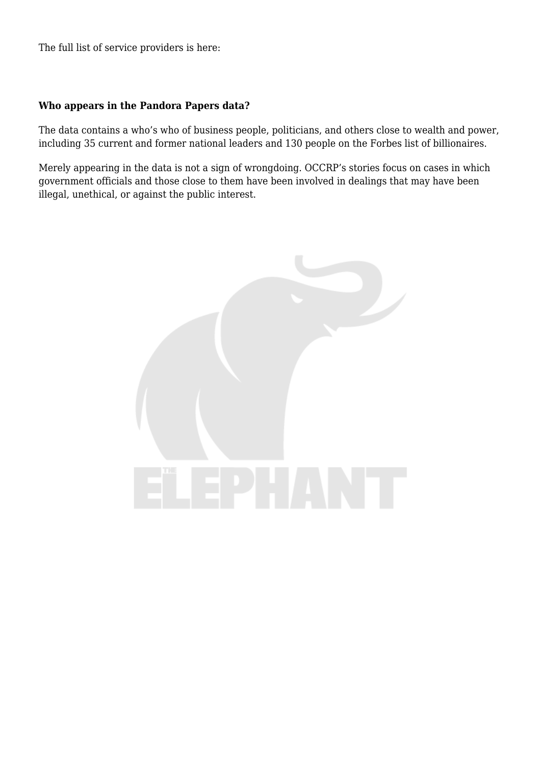The full list of service providers is here:

#### **Who appears in the Pandora Papers data?**

The data contains a who's who of business people, politicians, and others close to wealth and power, including 35 current and former national leaders and 130 people on the Forbes list of billionaires.

Merely appearing in the data is not a sign of wrongdoing. OCCRP's stories focus on cases in which government officials and those close to them have been involved in dealings that may have been illegal, unethical, or against the public interest.

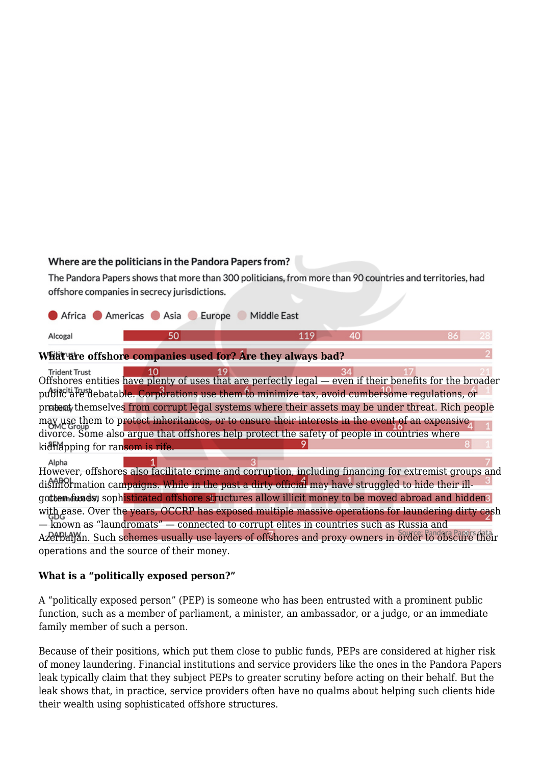## Where are the politicians in the Pandora Papers from?

The Pandora Papers shows that more than 300 politicians, from more than 90 countries and territories, had offshore companies in secrecy jurisdictions.

|                                                           | Africa Americas Asia Europe | Middle East |  |  |
|-----------------------------------------------------------|-----------------------------|-------------|--|--|
| Alcogal                                                   |                             |             |  |  |
| Weightha offshore companies used for any they always had? |                             |             |  |  |

# **What are offshore companies used for? Are they always bad?**

19 34 **Trident Trust**  $10$ Offshores entities have plenty of uses that are perfectly legal — even if their benefits for the broader public are debatable. Corporations use them to minimize tax, avoid cumbersome regulations, or protect themselves from corrupt legal systems where their assets may be under threat. Rich people may use them to protect inheritances, or to ensure their interests in the event of an expensive divorce. Some also argue that offshores help protect the safety of people in countries where kidh doping for ransom is rife.

Alpha However, offshores also facilitate crime and corruption, including financing for extremist groups and disinformation campaigns. While in the past a dirty official may have struggled to hide their illgottem funds, sophisticated offshore structures allow illicit money to be moved abroad and hidden? with ease. Over the years, OCCRP has exposed multiple massive operations for laundering dirty cash — known as "laundromats" — connected to corrupt elites in countries such as Russia and Azerbaijan. Such schemes usually use layers of offshores and proxy owners in order to obscure their operations and the source of their money.

## **What is a "politically exposed person?"**

A "politically exposed person" (PEP) is someone who has been entrusted with a prominent public function, such as a member of parliament, a minister, an ambassador, or a judge, or an immediate family member of such a person.

Because of their positions, which put them close to public funds, PEPs are considered at higher risk of money laundering. Financial institutions and service providers like the ones in the Pandora Papers leak typically claim that they subject PEPs to greater scrutiny before acting on their behalf. But the leak shows that, in practice, service providers often have no qualms about helping such clients hide their wealth using sophisticated offshore structures.